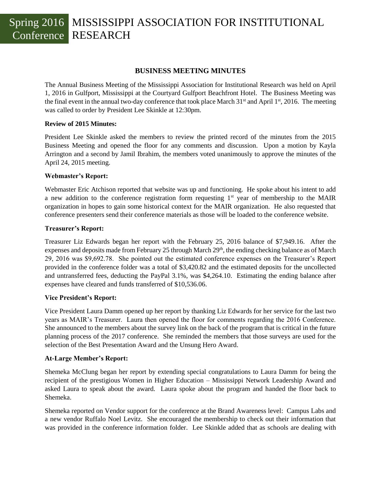## Spring 2016 MISSISSIPPI ASSOCIATION FOR INSTITUTIONAL Conference RESEARCH

### **BUSINESS MEETING MINUTES**

The Annual Business Meeting of the Mississippi Association for Institutional Research was held on April 1, 2016 in Gulfport, Mississippi at the Courtyard Gulfport Beachfront Hotel. The Business Meeting was the final event in the annual two-day conference that took place March  $31<sup>st</sup>$  and April  $1<sup>st</sup>$ , 2016. The meeting was called to order by President Lee Skinkle at 12:30pm.

### **Review of 2015 Minutes:**

President Lee Skinkle asked the members to review the printed record of the minutes from the 2015 Business Meeting and opened the floor for any comments and discussion. Upon a motion by Kayla Arrington and a second by Jamil Ibrahim, the members voted unanimously to approve the minutes of the April 24, 2015 meeting.

### **Webmaster's Report:**

Webmaster Eric Atchison reported that website was up and functioning. He spoke about his intent to add a new addition to the conference registration form requesting  $1<sup>st</sup>$  year of membership to the MAIR organization in hopes to gain some historical context for the MAIR organization. He also requested that conference presenters send their conference materials as those will be loaded to the conference website.

### **Treasurer's Report:**

Treasurer Liz Edwards began her report with the February 25, 2016 balance of \$7,949.16. After the expenses and deposits made from February 25 through March 29<sup>th</sup>, the ending checking balance as of March 29, 2016 was \$9,692.78. She pointed out the estimated conference expenses on the Treasurer's Report provided in the conference folder was a total of \$3,420.82 and the estimated deposits for the uncollected and untransferred fees, deducting the PayPal 3.1%, was \$4,264.10. Estimating the ending balance after expenses have cleared and funds transferred of \$10,536.06.

## **Vice President's Report:**

Vice President Laura Damm opened up her report by thanking Liz Edwards for her service for the last two years as MAIR's Treasurer. Laura then opened the floor for comments regarding the 2016 Conference. She announced to the members about the survey link on the back of the program that is critical in the future planning process of the 2017 conference. She reminded the members that those surveys are used for the selection of the Best Presentation Award and the Unsung Hero Award.

### **At-Large Member's Report:**

Shemeka McClung began her report by extending special congratulations to Laura Damm for being the recipient of the prestigious Women in Higher Education – Mississippi Network Leadership Award and asked Laura to speak about the award. Laura spoke about the program and handed the floor back to Shemeka.

Shemeka reported on Vendor support for the conference at the Brand Awareness level: Campus Labs and a new vendor Ruffalo Noel Levitz. She encouraged the membership to check out their information that was provided in the conference information folder. Lee Skinkle added that as schools are dealing with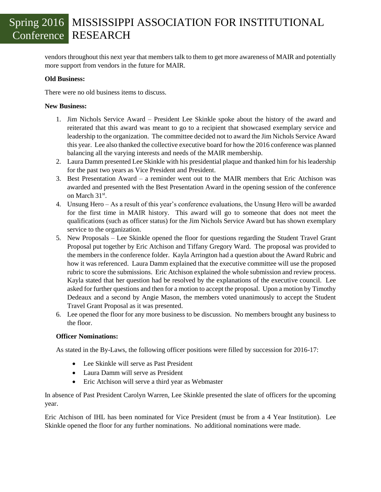# Spring 2016 MISSISSIPPI ASSOCIATION FOR INSTITUTIONAL Conference RESEARCH

vendors throughout this next year that members talk to them to get more awareness of MAIR and potentially more support from vendors in the future for MAIR.

## **Old Business:**

There were no old business items to discuss.

### **New Business:**

- 1. Jim Nichols Service Award President Lee Skinkle spoke about the history of the award and reiterated that this award was meant to go to a recipient that showcased exemplary service and leadership to the organization. The committee decided not to award the Jim Nichols Service Award this year. Lee also thanked the collective executive board for how the 2016 conference was planned balancing all the varying interests and needs of the MAIR membership.
- 2. Laura Damm presented Lee Skinkle with his presidential plaque and thanked him for his leadership for the past two years as Vice President and President.
- 3. Best Presentation Award a reminder went out to the MAIR members that Eric Atchison was awarded and presented with the Best Presentation Award in the opening session of the conference on March 31<sup>st</sup>.
- 4. Unsung Hero As a result of this year's conference evaluations, the Unsung Hero will be awarded for the first time in MAIR history. This award will go to someone that does not meet the qualifications (such as officer status) for the Jim Nichols Service Award but has shown exemplary service to the organization.
- 5. New Proposals Lee Skinkle opened the floor for questions regarding the Student Travel Grant Proposal put together by Eric Atchison and Tiffany Gregory Ward. The proposal was provided to the members in the conference folder. Kayla Arrington had a question about the Award Rubric and how it was referenced. Laura Damm explained that the executive committee will use the proposed rubric to score the submissions. Eric Atchison explained the whole submission and review process. Kayla stated that her question had be resolved by the explanations of the executive council. Lee asked for further questions and then for a motion to accept the proposal. Upon a motion by Timothy Dedeaux and a second by Angie Mason, the members voted unanimously to accept the Student Travel Grant Proposal as it was presented.
- 6. Lee opened the floor for any more business to be discussion. No members brought any business to the floor.

## **Officer Nominations:**

As stated in the By-Laws, the following officer positions were filled by succession for 2016-17:

- Lee Skinkle will serve as Past President
- Laura Damm will serve as President
- Eric Atchison will serve a third year as Webmaster

In absence of Past President Carolyn Warren, Lee Skinkle presented the slate of officers for the upcoming year.

Eric Atchison of IHL has been nominated for Vice President (must be from a 4 Year Institution). Lee Skinkle opened the floor for any further nominations. No additional nominations were made.